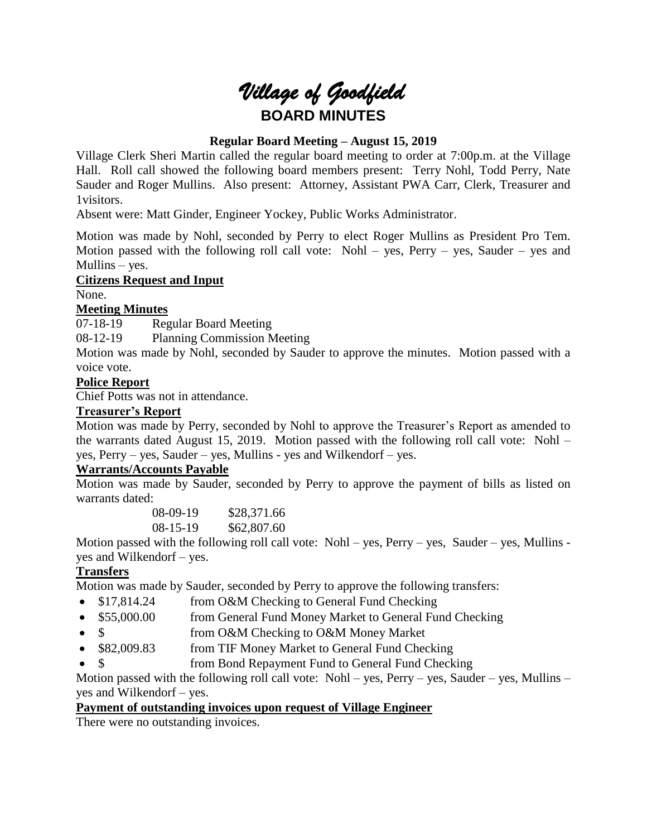# *Village of Goodfield* **BOARD MINUTES**

# **Regular Board Meeting – August 15, 2019**

Village Clerk Sheri Martin called the regular board meeting to order at 7:00p.m. at the Village Hall. Roll call showed the following board members present: Terry Nohl, Todd Perry, Nate Sauder and Roger Mullins. Also present: Attorney, Assistant PWA Carr, Clerk, Treasurer and 1visitors.

Absent were: Matt Ginder, Engineer Yockey, Public Works Administrator.

Motion was made by Nohl, seconded by Perry to elect Roger Mullins as President Pro Tem. Motion passed with the following roll call vote: Nohl – yes, Perry – yes, Sauder – yes and Mullins – yes.

**Citizens Request and Input** 

None.

#### **Meeting Minutes**

07-18-19 Regular Board Meeting

08-12-19 Planning Commission Meeting

Motion was made by Nohl, seconded by Sauder to approve the minutes. Motion passed with a voice vote.

#### **Police Report**

Chief Potts was not in attendance.

#### **Treasurer's Report**

Motion was made by Perry, seconded by Nohl to approve the Treasurer's Report as amended to the warrants dated August 15, 2019. Motion passed with the following roll call vote: Nohl – yes, Perry – yes, Sauder – yes, Mullins - yes and Wilkendorf – yes.

# **Warrants/Accounts Payable**

Motion was made by Sauder, seconded by Perry to approve the payment of bills as listed on warrants dated:

> 08-09-19 \$28,371.66 08-15-19 \$62,807.60

Motion passed with the following roll call vote: Nohl – yes, Perry – yes, Sauder – yes, Mullins yes and Wilkendorf – yes.

# **Transfers**

Motion was made by Sauder, seconded by Perry to approve the following transfers:

- \$17,814.24 from O&M Checking to General Fund Checking
- \$55,000.00 from General Fund Money Market to General Fund Checking
- \$ from O&M Checking to O&M Money Market
- \$82,009.83 from TIF Money Market to General Fund Checking
- from Bond Repayment Fund to General Fund Checking

Motion passed with the following roll call vote: Nohl – yes, Perry – yes, Sauder – yes, Mullins – yes and Wilkendorf – yes.

#### **Payment of outstanding invoices upon request of Village Engineer**

There were no outstanding invoices.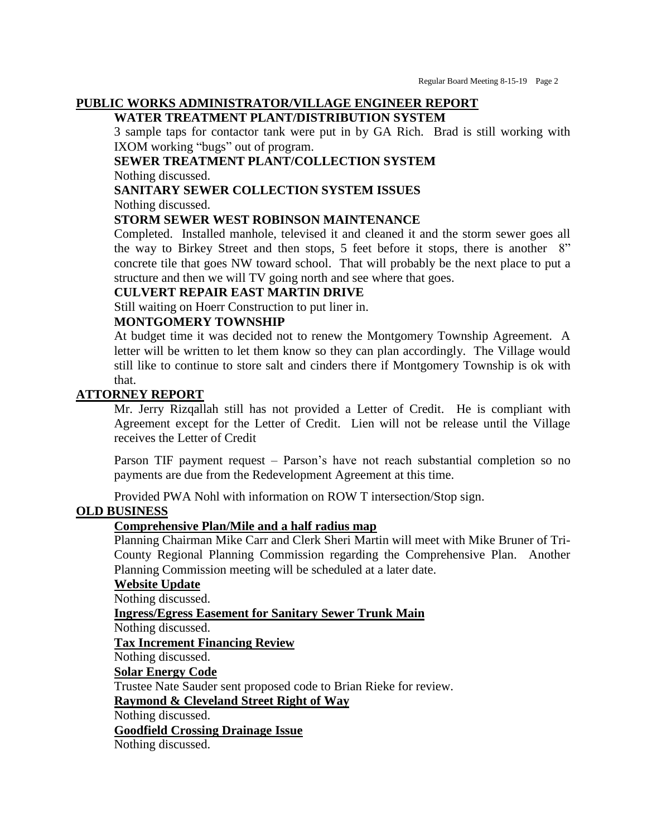#### **PUBLIC WORKS ADMINISTRATOR/VILLAGE ENGINEER REPORT**

# **WATER TREATMENT PLANT/DISTRIBUTION SYSTEM**

3 sample taps for contactor tank were put in by GA Rich. Brad is still working with IXOM working "bugs" out of program.

# **SEWER TREATMENT PLANT/COLLECTION SYSTEM**

Nothing discussed.

#### **SANITARY SEWER COLLECTION SYSTEM ISSUES**

Nothing discussed.

#### **STORM SEWER WEST ROBINSON MAINTENANCE**

Completed. Installed manhole, televised it and cleaned it and the storm sewer goes all the way to Birkey Street and then stops, 5 feet before it stops, there is another 8" concrete tile that goes NW toward school. That will probably be the next place to put a structure and then we will TV going north and see where that goes.

#### **CULVERT REPAIR EAST MARTIN DRIVE**

Still waiting on Hoerr Construction to put liner in.

#### **MONTGOMERY TOWNSHIP**

At budget time it was decided not to renew the Montgomery Township Agreement. A letter will be written to let them know so they can plan accordingly. The Village would still like to continue to store salt and cinders there if Montgomery Township is ok with that.

#### **ATTORNEY REPORT**

Mr. Jerry Rizqallah still has not provided a Letter of Credit. He is compliant with Agreement except for the Letter of Credit. Lien will not be release until the Village receives the Letter of Credit

Parson TIF payment request – Parson's have not reach substantial completion so no payments are due from the Redevelopment Agreement at this time.

Provided PWA Nohl with information on ROW T intersection/Stop sign.

#### **OLD BUSINESS**

#### **Comprehensive Plan/Mile and a half radius map**

Planning Chairman Mike Carr and Clerk Sheri Martin will meet with Mike Bruner of Tri-County Regional Planning Commission regarding the Comprehensive Plan. Another Planning Commission meeting will be scheduled at a later date.

#### **Website Update**

Nothing discussed.

#### **Ingress/Egress Easement for Sanitary Sewer Trunk Main**

Nothing discussed.

**Tax Increment Financing Review**

Nothing discussed.

#### **Solar Energy Code**

Trustee Nate Sauder sent proposed code to Brian Rieke for review.

**Raymond & Cleveland Street Right of Way**

Nothing discussed.

# **Goodfield Crossing Drainage Issue**

Nothing discussed.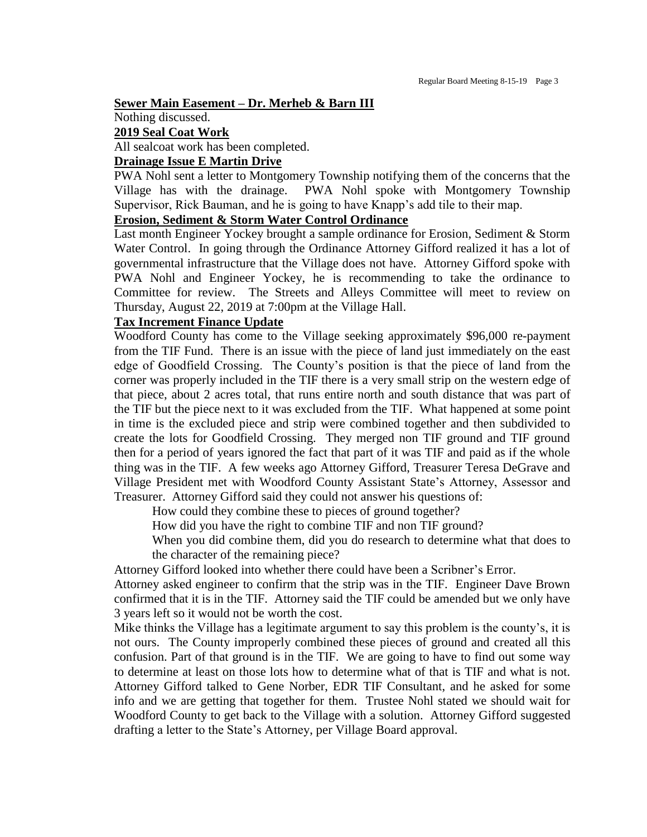**Sewer Main Easement – Dr. Merheb & Barn III**

Nothing discussed.

#### **2019 Seal Coat Work**

All sealcoat work has been completed.

#### **Drainage Issue E Martin Drive**

PWA Nohl sent a letter to Montgomery Township notifying them of the concerns that the Village has with the drainage. PWA Nohl spoke with Montgomery Township Supervisor, Rick Bauman, and he is going to have Knapp's add tile to their map.

#### **Erosion, Sediment & Storm Water Control Ordinance**

Last month Engineer Yockey brought a sample ordinance for Erosion, Sediment & Storm Water Control. In going through the Ordinance Attorney Gifford realized it has a lot of governmental infrastructure that the Village does not have. Attorney Gifford spoke with PWA Nohl and Engineer Yockey, he is recommending to take the ordinance to Committee for review. The Streets and Alleys Committee will meet to review on Thursday, August 22, 2019 at 7:00pm at the Village Hall.

#### **Tax Increment Finance Update**

Woodford County has come to the Village seeking approximately \$96,000 re-payment from the TIF Fund. There is an issue with the piece of land just immediately on the east edge of Goodfield Crossing. The County's position is that the piece of land from the corner was properly included in the TIF there is a very small strip on the western edge of that piece, about 2 acres total, that runs entire north and south distance that was part of the TIF but the piece next to it was excluded from the TIF. What happened at some point in time is the excluded piece and strip were combined together and then subdivided to create the lots for Goodfield Crossing. They merged non TIF ground and TIF ground then for a period of years ignored the fact that part of it was TIF and paid as if the whole thing was in the TIF. A few weeks ago Attorney Gifford, Treasurer Teresa DeGrave and Village President met with Woodford County Assistant State's Attorney, Assessor and Treasurer. Attorney Gifford said they could not answer his questions of:

How could they combine these to pieces of ground together?

How did you have the right to combine TIF and non TIF ground?

When you did combine them, did you do research to determine what that does to the character of the remaining piece?

Attorney Gifford looked into whether there could have been a Scribner's Error.

Attorney asked engineer to confirm that the strip was in the TIF. Engineer Dave Brown confirmed that it is in the TIF. Attorney said the TIF could be amended but we only have 3 years left so it would not be worth the cost.

Mike thinks the Village has a legitimate argument to say this problem is the county's, it is not ours. The County improperly combined these pieces of ground and created all this confusion. Part of that ground is in the TIF. We are going to have to find out some way to determine at least on those lots how to determine what of that is TIF and what is not. Attorney Gifford talked to Gene Norber, EDR TIF Consultant, and he asked for some info and we are getting that together for them. Trustee Nohl stated we should wait for Woodford County to get back to the Village with a solution. Attorney Gifford suggested drafting a letter to the State's Attorney, per Village Board approval.